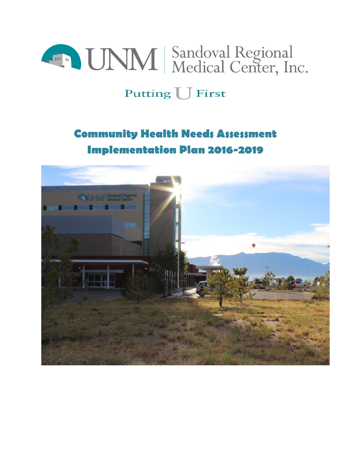

# Putting U First

# **Community Health Needs Assessment Implementation Plan 2016-2019**

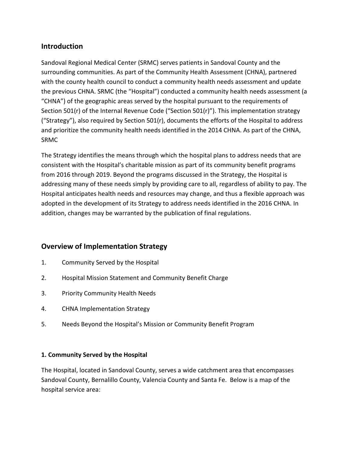## **Introduction**

Sandoval Regional Medical Center (SRMC) serves patients in Sandoval County and the surrounding communities. As part of the Community Health Assessment (CHNA), partnered with the county health council to conduct a community health needs assessment and update the previous CHNA. SRMC (the "Hospital") conducted a community health needs assessment (a "CHNA") of the geographic areas served by the hospital pursuant to the requirements of Section 501(r) of the Internal Revenue Code ("Section 501(r)"). This implementation strategy ("Strategy"), also required by Section 501(r), documents the efforts of the Hospital to address and prioritize the community health needs identified in the 2014 CHNA. As part of the CHNA, SRMC

The Strategy identifies the means through which the hospital plans to address needs that are consistent with the Hospital's charitable mission as part of its community benefit programs from 2016 through 2019. Beyond the programs discussed in the Strategy, the Hospital is addressing many of these needs simply by providing care to all, regardless of ability to pay. The Hospital anticipates health needs and resources may change, and thus a flexible approach was adopted in the development of its Strategy to address needs identified in the 2016 CHNA. In addition, changes may be warranted by the publication of final regulations.

## **Overview of Implementation Strategy**

- 1. Community Served by the Hospital
- 2. Hospital Mission Statement and Community Benefit Charge
- 3. Priority Community Health Needs
- 4. CHNA Implementation Strategy
- 5. Needs Beyond the Hospital's Mission or Community Benefit Program

## **1. Community Served by the Hospital**

The Hospital, located in Sandoval County, serves a wide catchment area that encompasses Sandoval County, Bernalillo County, Valencia County and Santa Fe. Below is a map of the hospital service area: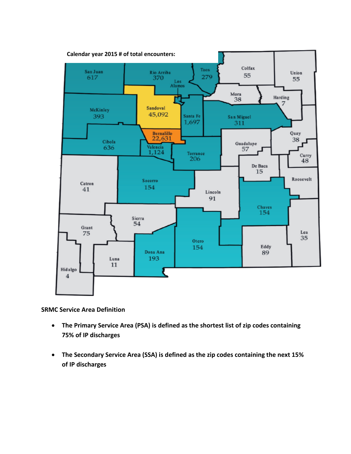

**SRMC Service Area Definition**

- **The Primary Service Area (PSA) is defined as the shortest list of zip codes containing 75% of IP discharges**
- **The Secondary Service Area (SSA) is defined as the zip codes containing the next 15% of IP discharges**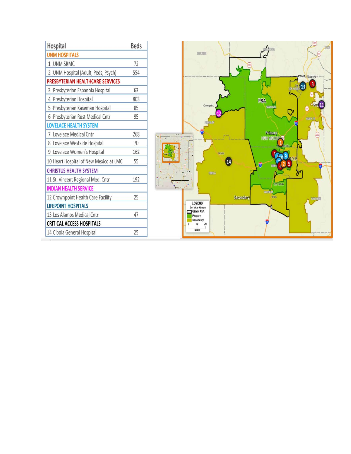| Hospital                               | <b>Beds</b> |
|----------------------------------------|-------------|
| <b>UNM HOSPITALS</b>                   |             |
| 1 UNM SRMC                             | 72          |
| 2 UNM Hospital (Adult, Peds, Psych)    | 554         |
| PRESBYTERIAN HEALTHCARE SERVICES       |             |
| 3 Presbyterian Espanola Hospital       | 63          |
| 4 Presbyterian Hospital                | 803         |
| 5 Presbyterian Kaseman Hospital        | 85          |
| 6 Presbyterian Rust Medical Cntr       | 95          |
| <b>LOVELACE HEALTH SYSTEM</b>          |             |
| 7 Lovelace Medical Cntr                | 268         |
| 8 Lovelace Westside Hospital           | 70          |
| 9 Lovelace Women's Hospital            | 162         |
| 10 Heart Hospital of New Mexico at LMC | 55          |
| <b>CHRISTUS HEALTH SYSTEM</b>          |             |
| 11 St. Vincent Regional Med. Cntr      | 192         |
| <b>INDIAN HEALTH SERVICE</b>           |             |
| 12 Crownpoint Health Care Facility     | 25          |
| <b>LIFEPOINT HOSPITALS</b>             |             |
| 13 Los Alamos Medical Cntr             | 47          |
| <b>CRITICAL ACCESS HOSPITALS</b>       |             |
| 14 Cibola General Hospital             | 25          |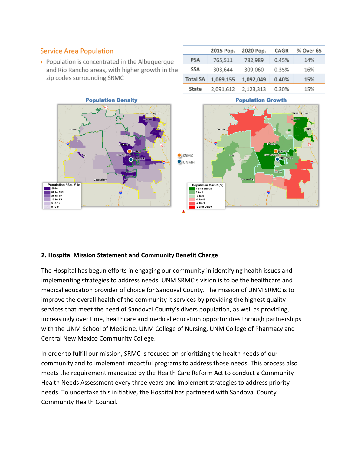## **Service Area Population**

▶ Population is concentrated in the Albuquerque and Rio Rancho areas, with higher growth in the zip codes surrounding SRMC



|                 | 2015 Pop. | 2020 Pop. | <b>CAGR</b> | % Over 65 |
|-----------------|-----------|-----------|-------------|-----------|
| <b>PSA</b>      | 765,511   | 782,989   | 0.45%       | 14%       |
| <b>SSA</b>      | 303,644   | 309,060   | 0.35%       | 16%       |
| <b>Total SA</b> | 1,069,155 | 1,092,049 | 0.40%       | 15%       |
| State           | 2,091,612 | 2,123,313 | 0.30%       | 15%       |



#### **2. Hospital Mission Statement and Community Benefit Charge**

The Hospital has begun efforts in engaging our community in identifying health issues and implementing strategies to address needs. UNM SRMC's vision is to be the healthcare and medical education provider of choice for Sandoval County. The mission of UNM SRMC is to improve the overall health of the community it services by providing the highest quality services that meet the need of Sandoval County's divers population, as well as providing, increasingly over time, healthcare and medical education opportunities through partnerships with the UNM School of Medicine, UNM College of Nursing, UNM College of Pharmacy and Central New Mexico Community College.

In order to fulfill our mission, SRMC is focused on prioritizing the health needs of our community and to implement impactful programs to address those needs. This process also meets the requirement mandated by the Health Care Reform Act to conduct a Community Health Needs Assessment every three years and implement strategies to address priority needs. To undertake this initiative, the Hospital has partnered with Sandoval County Community Health Council.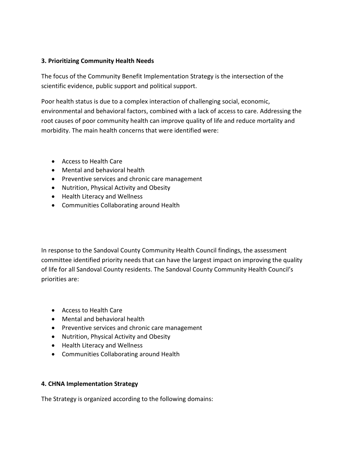### **3. Prioritizing Community Health Needs**

The focus of the Community Benefit Implementation Strategy is the intersection of the scientific evidence, public support and political support.

Poor health status is due to a complex interaction of challenging social, economic, environmental and behavioral factors, combined with a lack of access to care. Addressing the root causes of poor community health can improve quality of life and reduce mortality and morbidity. The main health concerns that were identified were:

- Access to Health Care
- Mental and behavioral health
- Preventive services and chronic care management
- Nutrition, Physical Activity and Obesity
- Health Literacy and Wellness
- Communities Collaborating around Health

In response to the Sandoval County Community Health Council findings, the assessment committee identified priority needs that can have the largest impact on improving the quality of life for all Sandoval County residents. The Sandoval County Community Health Council's priorities are:

- Access to Health Care
- Mental and behavioral health
- Preventive services and chronic care management
- Nutrition, Physical Activity and Obesity
- Health Literacy and Wellness
- Communities Collaborating around Health

## **4. CHNA Implementation Strategy**

The Strategy is organized according to the following domains: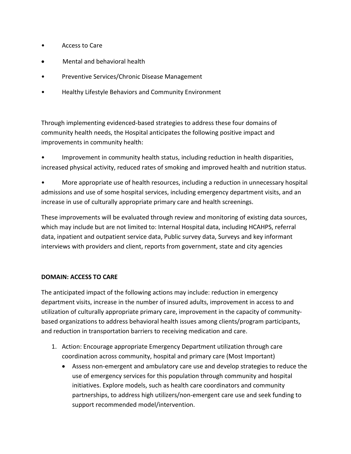- Access to Care
- Mental and behavioral health
- Preventive Services/Chronic Disease Management
- Healthy Lifestyle Behaviors and Community Environment

Through implementing evidenced-based strategies to address these four domains of community health needs, the Hospital anticipates the following positive impact and improvements in community health:

• Improvement in community health status, including reduction in health disparities, increased physical activity, reduced rates of smoking and improved health and nutrition status.

• More appropriate use of health resources, including a reduction in unnecessary hospital admissions and use of some hospital services, including emergency department visits, and an increase in use of culturally appropriate primary care and health screenings.

These improvements will be evaluated through review and monitoring of existing data sources, which may include but are not limited to: Internal Hospital data, including HCAHPS, referral data, inpatient and outpatient service data, Public survey data, Surveys and key informant interviews with providers and client, reports from government, state and city agencies

#### **DOMAIN: ACCESS TO CARE**

The anticipated impact of the following actions may include: reduction in emergency department visits, increase in the number of insured adults, improvement in access to and utilization of culturally appropriate primary care, improvement in the capacity of communitybased organizations to address behavioral health issues among clients/program participants, and reduction in transportation barriers to receiving medication and care.

- 1. Action: Encourage appropriate Emergency Department utilization through care coordination across community, hospital and primary care (Most Important)
	- Assess non-emergent and ambulatory care use and develop strategies to reduce the use of emergency services for this population through community and hospital initiatives. Explore models, such as health care coordinators and community partnerships, to address high utilizers/non-emergent care use and seek funding to support recommended model/intervention.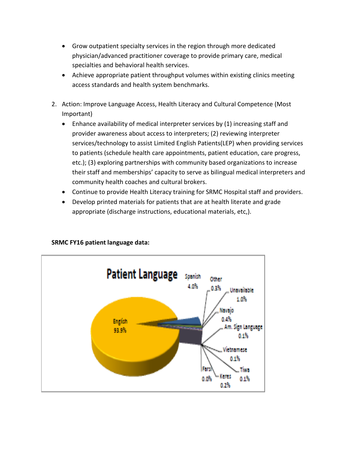- Grow outpatient specialty services in the region through more dedicated physician/advanced practitioner coverage to provide primary care, medical specialties and behavioral health services.
- Achieve appropriate patient throughput volumes within existing clinics meeting access standards and health system benchmarks.
- 2. Action: Improve Language Access, Health Literacy and Cultural Competence (Most Important)
	- Enhance availability of medical interpreter services by (1) increasing staff and provider awareness about access to interpreters; (2) reviewing interpreter services/technology to assist Limited English Patients(LEP) when providing services to patients (schedule health care appointments, patient education, care progress, etc.); (3) exploring partnerships with community based organizations to increase their staff and memberships' capacity to serve as bilingual medical interpreters and community health coaches and cultural brokers.
	- Continue to provide Health Literacy training for SRMC Hospital staff and providers.
	- Develop printed materials for patients that are at health literate and grade appropriate (discharge instructions, educational materials, etc,).



## **SRMC FY16 patient language data:**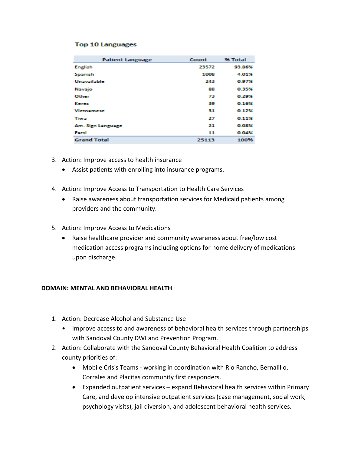#### **Top 10 Languages**

| <b>Patient Language</b> | Count | % Total |
|-------------------------|-------|---------|
| <b>English</b>          | 23572 | 93.86%  |
| Spanish                 | 1008  | 4.01%   |
| Unavailable             | 243   | 0.97%   |
| Navajo                  | 88    | 0.35%   |
| Other                   | 73    | 0.29%   |
| Keres                   | 39    | 0.16%   |
| <b>Vietnamese</b>       | 31    | 0.12%   |
| Tiwa                    | 27    | 0.11%   |
| Am. Sign Language       | 21    | 0.08%   |
| Farsi                   | 11    | 0.04%   |
| <b>Grand Total</b>      | 25113 | 100%    |

- 3. Action: Improve access to health insurance
	- Assist patients with enrolling into insurance programs.
- 4. Action: Improve Access to Transportation to Health Care Services
	- Raise awareness about transportation services for Medicaid patients among providers and the community.
- 5. Action: Improve Access to Medications
	- Raise healthcare provider and community awareness about free/low cost medication access programs including options for home delivery of medications upon discharge.

#### **DOMAIN: MENTAL AND BEHAVIORAL HEALTH**

- 1. Action: Decrease Alcohol and Substance Use
	- Improve access to and awareness of behavioral health services through partnerships with Sandoval County DWI and Prevention Program.
- 2. Action: Collaborate with the Sandoval County Behavioral Health Coalition to address county priorities of:
	- Mobile Crisis Teams working in coordination with Rio Rancho, Bernalillo, Corrales and Placitas community first responders.
	- Expanded outpatient services expand Behavioral health services within Primary Care, and develop intensive outpatient services (case management, social work, psychology visits), jail diversion, and adolescent behavioral health services.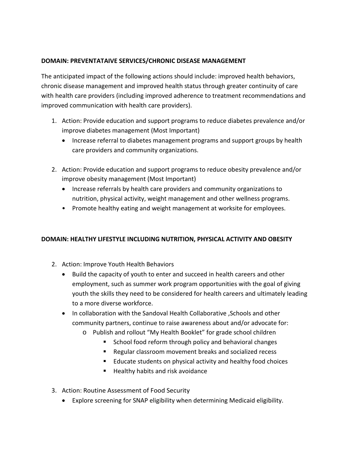## **DOMAIN: PREVENTATAIVE SERVICES/CHRONIC DISEASE MANAGEMENT**

The anticipated impact of the following actions should include: improved health behaviors, chronic disease management and improved health status through greater continuity of care with health care providers (including improved adherence to treatment recommendations and improved communication with health care providers).

- 1. Action: Provide education and support programs to reduce diabetes prevalence and/or improve diabetes management (Most Important)
	- Increase referral to diabetes management programs and support groups by health care providers and community organizations.
- 2. Action: Provide education and support programs to reduce obesity prevalence and/or improve obesity management (Most Important)
	- Increase referrals by health care providers and community organizations to nutrition, physical activity, weight management and other wellness programs.
	- Promote healthy eating and weight management at worksite for employees.

## **DOMAIN: HEALTHY LIFESTYLE INCLUDING NUTRITION, PHYSICAL ACTIVITY AND OBESITY**

- 2. Action: Improve Youth Health Behaviors
	- Build the capacity of youth to enter and succeed in health careers and other employment, such as summer work program opportunities with the goal of giving youth the skills they need to be considered for health careers and ultimately leading to a more diverse workforce.
	- In collaboration with the Sandoval Health Collaborative ,Schools and other community partners, continue to raise awareness about and/or advocate for:
		- o Publish and rollout "My Health Booklet" for grade school children
			- **School food reform through policy and behavioral changes**
			- Regular classroom movement breaks and socialized recess
			- Educate students on physical activity and healthy food choices
			- Healthy habits and risk avoidance
- 3. Action: Routine Assessment of Food Security
	- Explore screening for SNAP eligibility when determining Medicaid eligibility.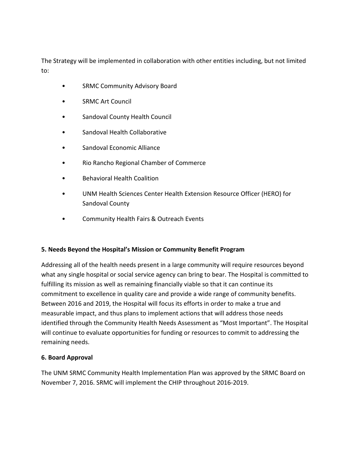The Strategy will be implemented in collaboration with other entities including, but not limited to:

- SRMC Community Advisory Board
- SRMC Art Council
- Sandoval County Health Council
- Sandoval Health Collaborative
- Sandoval Economic Alliance
- Rio Rancho Regional Chamber of Commerce
- Behavioral Health Coalition
- UNM Health Sciences Center Health Extension Resource Officer (HERO) for Sandoval County
- Community Health Fairs & Outreach Events

## **5. Needs Beyond the Hospital's Mission or Community Benefit Program**

Addressing all of the health needs present in a large community will require resources beyond what any single hospital or social service agency can bring to bear. The Hospital is committed to fulfilling its mission as well as remaining financially viable so that it can continue its commitment to excellence in quality care and provide a wide range of community benefits. Between 2016 and 2019, the Hospital will focus its efforts in order to make a true and measurable impact, and thus plans to implement actions that will address those needs identified through the Community Health Needs Assessment as "Most Important". The Hospital will continue to evaluate opportunities for funding or resources to commit to addressing the remaining needs.

## **6. Board Approval**

The UNM SRMC Community Health Implementation Plan was approved by the SRMC Board on November 7, 2016. SRMC will implement the CHIP throughout 2016-2019.